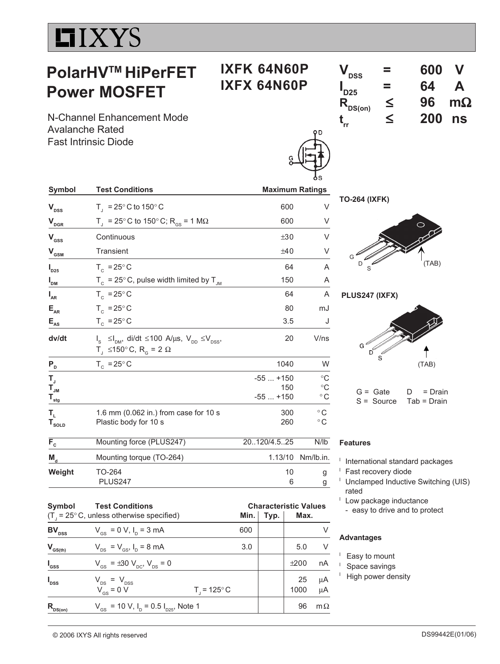# **LIXYS**

# **PolarHVTM HiPerFET Power MOSFET**

# **IXFK 64N60P IXFX 64N60P**

| $\mathbf{V}_{\text{DSS}}$   | ═ | 600 | V         |
|-----------------------------|---|-----|-----------|
| $\mathsf{I}_{\mathsf{D25}}$ | ═ | 64  | A         |
| $R_{DS(on)}$                | ≤ | 96  | $m\Omega$ |
|                             | ≤ | 200 | ns        |

**track** N-Channel Enhancement Mode Avalanche Rated Fast Intrinsic Diode

| <b>Maximum Ratings</b> |                                |
|------------------------|--------------------------------|
|                        |                                |
| 600                    | V                              |
| 600                    | V                              |
| ±30                    | V                              |
| ±40                    | V                              |
| 64                     | A                              |
| 150                    | Α                              |
| 64                     | A                              |
| 80                     | mJ                             |
| 3.5                    | J                              |
| 20                     | V/ns                           |
| 1040                   | W                              |
| $-55+150$<br>150       | $^{\circ}C$<br>$\rm ^{\circ}C$ |
|                        | $^{\circ}$ C                   |
| 300                    | $^{\circ}$ C                   |
| 260                    | $^{\circ}$ C                   |
|                        | N/lb                           |
| 1.13/10                | Nm/lb.in.                      |
| 10<br>6                | g<br>g                         |
|                        | $-55+150$<br>20120/4.525       |

| Symbol           | <b>Test Conditions</b>                                               |                         |     | <b>Characteristic Values</b> |      |           |
|------------------|----------------------------------------------------------------------|-------------------------|-----|------------------------------|------|-----------|
|                  | $(T_{\text{I}} = 25^{\circ} \text{C}$ , unless otherwise specified)  |                         |     | Min. $\vert$ Typ.            | Max. |           |
| $BV_{DSS}$       | $V_{\text{GS}} = 0 \text{ V}, I_{\text{D}} = 3 \text{ mA}$           |                         | 600 |                              |      | V         |
| $V_{GS(th)}$     | $V_{DS} = V_{GS}$ , $I_D = 8$ mA                                     |                         | 3.0 |                              | 5.0  | V         |
| $I_{\rm dss}$    | $V_{\text{gs}} = \pm 30 \text{ V}_{\text{nc}}$ , $V_{\text{ps}} = 0$ |                         |     |                              | ±200 | nA        |
| $I_{\text{DSS}}$ | $V_{DS}$ = $V_{DSS}$                                                 |                         |     |                              | 25   | μA        |
|                  | $V_{GS}$ = 0 V                                                       | $T_{1} = 125^{\circ} C$ |     |                              | 1000 | μA        |
| $R_{DS(0n)}$     | $V_{GS}$ = 10 V, I <sub>D</sub> = 0.5 I <sub>D25</sub> , Note 1      |                         |     |                              | 96   | $m\Omega$ |

| <b>TO-264 (IXFK)</b> |  |
|----------------------|--|



**PLUS247 (IXFX)**



 $G =$  Gate  $D =$  Drain S = Source Tab = Drain

#### **Features**

- International standard packages
- Fast recovery diode
- Unclamped Inductive Switching (UIS) rated
- <sup>1</sup> Low package inductance
	- easy to drive and to protect

#### **Advantages**

- <sup>l</sup> Easy to mount
- <sup>l</sup> Space savings
- <sup>1</sup> High power density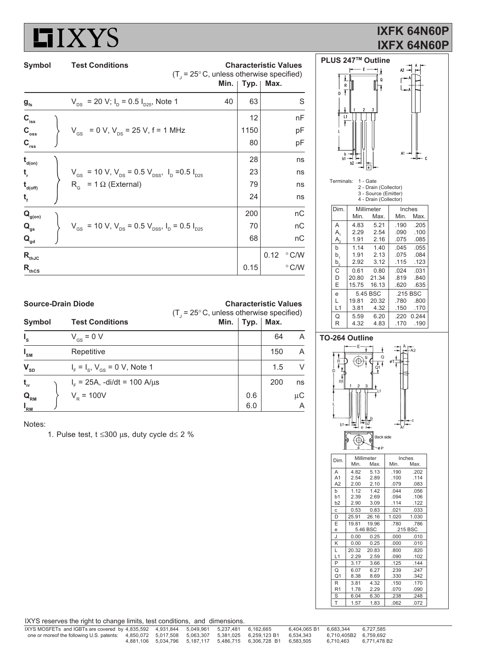

## **IXFK 64N60P IXFX 64N60P**

| Symbol                                  | <b>Test Conditions</b>                                                                                 | $(T1 = 25° C$ , unless otherwise specified) | Min. | <b>Characteristic Values</b> | Typ.   Max. |               |
|-----------------------------------------|--------------------------------------------------------------------------------------------------------|---------------------------------------------|------|------------------------------|-------------|---------------|
| $g_{\scriptscriptstyle \sf fs}$         | $V_{DS}$ = 20 V; I <sub>D</sub> = 0.5 I <sub>D25</sub> , Note 1                                        |                                             | 40   | 63                           |             | S             |
| $C_{\rm iss}$                           |                                                                                                        |                                             |      | 12                           |             | nF            |
| $C_{\rm oss}$                           | $V_{\text{cs}}$ = 0 V, $V_{\text{DS}}$ = 25 V, f = 1 MHz                                               |                                             |      | 1150                         |             | pF            |
| $C_{\rm rss}$                           |                                                                                                        |                                             |      | 80                           |             | pF            |
| $t_{\text{d}(on)}$                      |                                                                                                        |                                             |      | 28                           |             | ns            |
|                                         | $V_{\text{GS}}$ = 10 V, $V_{\text{DS}}$ = 0.5 V <sub>DSS</sub> , I <sub>D</sub> = 0.5 I <sub>D25</sub> |                                             |      | 23                           |             | ns            |
| $\mathbf{t}_{\mathsf{d}(\mathsf{off})}$ | $R_{c}$ = 1 $\Omega$ (External)                                                                        |                                             |      | 79                           |             | ns            |
|                                         |                                                                                                        |                                             |      | 24                           |             | ns            |
| $\mathbf{Q}_{\text{g(on)}}$             |                                                                                                        |                                             |      | 200                          |             | nC            |
| $\mathbf{Q}_{\mathrm{gs}}$              | $V_{\text{GS}}$ = 10 V, $V_{\text{DS}}$ = 0.5 $V_{\text{DSS}}$ , $I_{\text{D}}$ = 0.5 $I_{\text{D25}}$ |                                             |      | 70                           |             | nC            |
| $\mathbf{Q}_{\mathsf{gd}}$              |                                                                                                        |                                             |      | 68                           |             | nС            |
| $\mathsf{R}_{\text{thJC}}$              |                                                                                                        |                                             |      |                              | 0.12        | $\degree$ C/W |
| $R_{thcs}$                              |                                                                                                        |                                             |      | 0.15                         |             | $\degree$ C/W |





T 1.57 1.83 .062 .072

| <b>Source-Drain Diode</b>     |  |                                      | <b>Characteristic Values</b><br>$(T1 = 25° C, unless otherwise specified)$ |     |     |                |  |
|-------------------------------|--|--------------------------------------|----------------------------------------------------------------------------|-----|-----|----------------|--|
| Symbol                        |  |                                      | Min.   Typ.   Max.                                                         |     |     |                |  |
| $I_{\rm s}$                   |  | $V_{\text{gs}} = 0 V$                |                                                                            |     | 64  | A              |  |
| $I_{\rm SM}$                  |  | Repetitive                           |                                                                            |     | 150 | $\overline{A}$ |  |
| $\mathbf{V}_{\text{SD}}$      |  | $I_F = I_S$ , $V_{GS} = 0$ V, Note 1 |                                                                            |     | 1.5 | V              |  |
| $t_{rr}$                      |  | $I_{F}$ = 25A, -di/dt = 100 A/µs     |                                                                            |     | 200 | ns             |  |
| $\mathbf{Q}_{_{\mathsf{RM}}}$ |  | $V_{\rm R}$ = 100V                   |                                                                            | 0.6 |     | μC             |  |
| $I_{\mathsf{RM}}$             |  |                                      |                                                                            | 6.0 |     | $\overline{A}$ |  |

Notes:

1. Pulse test,  $t \leq 300 \mu s$ , duty cycle d $\leq 2 \%$ 

|  |  |  |  | IXYS reserves the right to change limits, test conditions, and dimensions. |  |  |
|--|--|--|--|----------------------------------------------------------------------------|--|--|
|--|--|--|--|----------------------------------------------------------------------------|--|--|

| IXYS MOSFETs and IGBTs are covered by 4,835,592 4,931,844 5,049,961 5,237,481 6,162,665                  |  |  |                                                                | 6.404.065 B1 6.683.344 6.727.585 |                        |  |
|----------------------------------------------------------------------------------------------------------|--|--|----------------------------------------------------------------|----------------------------------|------------------------|--|
| one or moreof the following U.S. patents: 4,850,072 5,017,508 5,063,307 5,381,025 6,259,123 B1 6,534,343 |  |  |                                                                |                                  | 6.710.405B2 6.759.692  |  |
|                                                                                                          |  |  | 4.881.106 5.034.796 5.187.117 5.486.715 6.306.728 B1 6.583.505 |                                  | 6.710.463 6.771.478 B2 |  |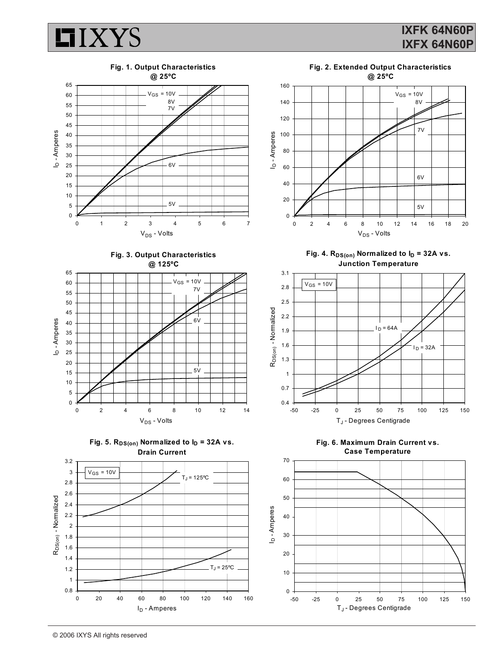











Fig. 4.  $R_{DS(on)}$  Normalized to  $I_D = 32A$  vs. **Junction Temperature**



**Fig. 6. Maximum Drain Current vs. Case Temperature**

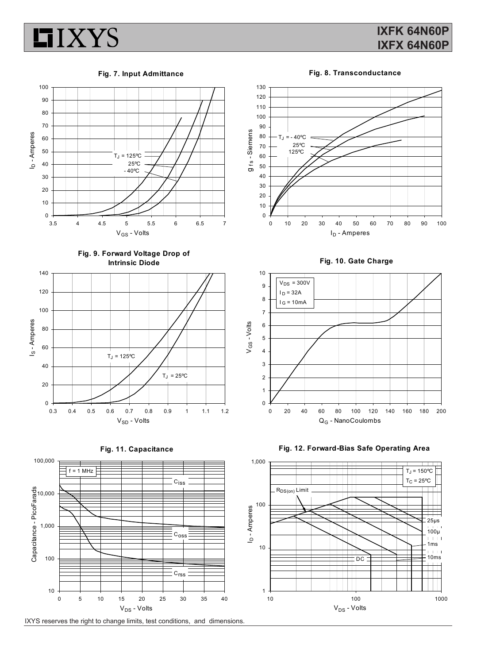

### **IXFK 64N60P IXFX 64N60P**

**Fig. 7. Input Admittance**





**Fig. 9. Forward Voltage Drop of Intrinsic Diode**









**Fig. 10. Gate Charge**